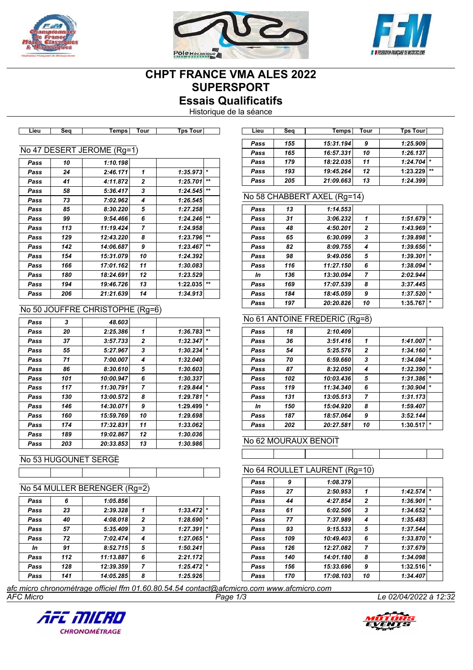





# **CHPT FRANCE VMA ALES 2022 SUPERSPORT Essais Qualificatifs**

Historique de la séance

|      |     | No 47 DESERT JEROME (Rg=1) |                |          |         |
|------|-----|----------------------------|----------------|----------|---------|
| Pass | 10  | 1:10.198                   |                |          |         |
| Pass | 24  | 2:46.171                   | 1              | 1:35.973 | $\star$ |
| Pass | 41  | 4:11.872                   | $\mathbf{z}$   | 1:25.701 | $+ +$   |
| Pass | 58  | 5:36.417                   | 3              | 1:24.545 | $+ +$   |
| Pass | 73  | 7:02.962                   | 4              | 1:26.545 |         |
| Pass | 85  | 8:30.220                   | 5              | 1:27.258 |         |
| Pass | 99  | 9:54.466                   | 6              | 1:24.246 | $+ +$   |
| Pass | 113 | 11:19.424                  | $\overline{ }$ | 1:24.958 |         |
| Pass | 129 | 12:43.220                  | 8              | 1:23.796 | $+ +$   |
| Pass | 142 | 14:06.687                  | 9              | 1:23.467 | $+ +$   |
| Pass | 154 | 15:31.079                  | 10             | 1:24.392 |         |
| Pass | 166 | 17:01.162                  | 11             | 1:30.083 |         |
| Pass | 180 | 18:24.691                  | 12             | 1:23.529 |         |
| Pass | 194 | 19:46.726                  | 13             | 1:22.035 | $+ +$   |
| Pass | 206 | 21:21.639                  | 14             | 1:34.913 |         |

**Lieu Seq Temps Tour Tps Tour Lieu Seq Temps Tour Tps Tour**

# No 50 JOUFFRE CHRISTOPHE (Rg=6)

| Pass | 3   | 48.603    |              |          |         |
|------|-----|-----------|--------------|----------|---------|
| Pass | 20  | 2:25.386  | 1            | 1:36.783 | $***$   |
| Pass | 37  | 3:57.733  | $\mathbf{2}$ | 1:32.347 | $\star$ |
| Pass | 55  | 5:27.967  | 3            | 1:30.234 | $\star$ |
| Pass | 71  | 7:00.007  | 4            | 1:32.040 |         |
| Pass | 86  | 8:30.610  | 5            | 1:30.603 |         |
| Pass | 101 | 10:00.947 | 6            | 1:30.337 |         |
| Pass | 117 | 11:30.791 | 7            | 1:29.844 | $\star$ |
| Pass | 130 | 13:00.572 | 8            | 1:29.781 | $\star$ |
| Pass | 146 | 14:30.071 | 9            | 1:29.499 | $\star$ |
| Pass | 160 | 15:59.769 | 10           | 1:29.698 |         |
| Pass | 174 | 17:32.831 | 11           | 1:33.062 |         |
| Pass | 189 | 19:02.867 | 12           | 1:30.036 |         |
| Pass | 203 | 20:33.853 | 13           | 1:30.986 |         |

## No 53 HUGOUNET SERGE

|  |  |  |  |  |  |  | No 54 MULLER BERENGER (Rg=2) |
|--|--|--|--|--|--|--|------------------------------|
|--|--|--|--|--|--|--|------------------------------|

| Pass | 6   | 1:05.856  |                |          |         |
|------|-----|-----------|----------------|----------|---------|
| Pass | 23  | 2:39.328  | 1              | 1:33.472 | $\star$ |
| Pass | 40  | 4:08.018  | $\overline{2}$ | 1:28.690 | $\star$ |
| Pass | 57  | 5:35.409  | 3              | 1:27.391 | $\star$ |
| Pass | 72  | 7:02.474  | 4              | 1:27.065 | $\star$ |
| In   | 91  | 8:52.715  | 5              | 1:50.241 |         |
| Pass | 112 | 11:13.887 | 6              | 2:21.172 |         |
| Pass | 128 | 12:39.359 | 7              | 1:25.472 | $\star$ |
| Pass | 141 | 14:05.285 | 8              | 1:25.926 |         |

| Lieu | Sea | Temps     | Tour | Tps Tour |         |
|------|-----|-----------|------|----------|---------|
|      |     |           |      |          |         |
| Pass | 155 | 15:31.194 | 9    | 1:25.909 |         |
| Pass | 165 | 16:57.331 | 10   | 1:26.137 |         |
| Pass | 179 | 18:22.035 | 11   | 1:24.704 | $\star$ |
| Pass | 193 | 19:45.264 | 12   | 1:23.229 | $**$    |
| Pass | 205 | 21:09.663 | 13   | 1:24.399 |         |

# No 58 CHABBERT AXEL (Rg=14)

| 1:51.679 | $\star$                          |
|----------|----------------------------------|
| 1:43.969 | $\star$                          |
| 1:39.898 | $\star$                          |
| 1:39.656 | $\star$                          |
| 1:39.301 | $\star$                          |
| 1:38.094 | $\star$                          |
| 2:02.944 |                                  |
|          |                                  |
|          | $\star$                          |
|          | $\star$                          |
|          | 3:37.445<br>1:37.520<br>1:35.767 |

# No 61 ANTOINE FREDERIC (Rg=8)

| Pass | 18  | 2:10.409  |                |          |         |
|------|-----|-----------|----------------|----------|---------|
|      |     |           |                |          |         |
| Pass | 36  | 3:51.416  | 1              | 1:41.007 | $\star$ |
| Pass | 54  | 5:25.576  | $\mathbf{2}$   | 1:34.160 |         |
| Pass | 70  | 6:59.660  | 3              | 1:34.084 | $\star$ |
| Pass | 87  | 8:32.050  | 4              | 1:32.390 | $\star$ |
| Pass | 102 | 10:03.436 | 5              | 1:31.386 |         |
| Pass | 119 | 11:34.340 | 6              | 1:30.904 | $\star$ |
| Pass | 131 | 13:05.513 | $\overline{7}$ | 1:31.173 |         |
| In   | 150 | 15:04.920 | 8              | 1:59.407 |         |
| Pass | 187 | 18:57.064 | 9              | 3:52.144 |         |
| Pass | 202 | 20:27.581 | 10             | 1:30.517 | $\ast$  |

#### No 62 MOURAUX BENOIT

## No 64 ROULLET LAURENT (Rg=10)

| Pass | 9   | 1:08.379  |                |          |         |
|------|-----|-----------|----------------|----------|---------|
| Pass | 27  | 2:50.953  | 1              | 1:42.574 | $\star$ |
| Pass | 44  | 4:27.854  | $\mathbf{2}$   | 1:36.901 | $\star$ |
| Pass | 61  | 6:02.506  | 3              | 1:34.652 | $\star$ |
| Pass | 77  | 7:37.989  | 4              | 1:35.483 |         |
| Pass | 93  | 9:15.533  | 5              | 1:37.544 |         |
| Pass | 109 | 10:49.403 | 6              | 1:33.870 | $\star$ |
| Pass | 126 | 12:27.082 | $\overline{7}$ | 1:37.679 |         |
| Pass | 140 | 14:01.180 | 8              | 1:34.098 |         |
| Pass | 156 | 15:33.696 | 9              | 1:32.516 | $\star$ |
| Pass | 170 | 17:08.103 | 10             | 1:34.407 |         |

*AFC Micro Page 1/3 Le 02/04/2022 à 12:32 afc micro chronométrage officiel ffm 01.60.80.54.54 contact@afcmicro.com www.afcmicro.com*



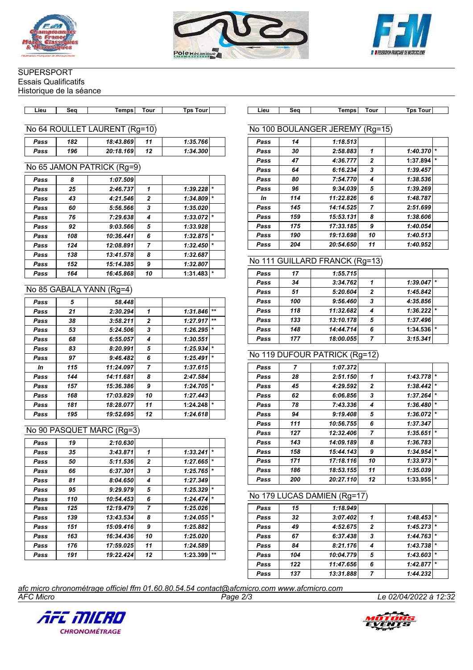





# **SUPERSPORT**

Essais Qualificatifs Historique de la séance

**Lieu Seq Temps Tour Tps Tour Lieu Seq Temps Tour Tps Tour**

#### No 64 ROULLET LAURENT (Rg=10)

| Pass | 182 | 18:43.869 | 11 | 1:35.766 |  |
|------|-----|-----------|----|----------|--|
| Pass | 196 | 20:18.169 | 12 | 1:34.300 |  |

#### No 65 JAMON PATRICK (Rg=9)

| Pass | 8   | 1:07.509  |              |          |         |
|------|-----|-----------|--------------|----------|---------|
| Pass | 25  | 2:46.737  | 1            | 1:39.228 | $\star$ |
| Pass | 43  | 4:21.546  | $\mathbf{z}$ | 1:34.809 | $\star$ |
| Pass | 60  | 5:56.566  | 3            | 1:35.020 |         |
| Pass | 76  | 7:29.638  | 4            | 1:33.072 | $\star$ |
| Pass | 92  | 9:03.566  | 5            | 1:33.928 |         |
| Pass | 108 | 10:36.441 | 6            | 1:32.875 | $\star$ |
| Pass | 124 | 12:08.891 | 7            | 1:32.450 | $\star$ |
| Pass | 138 | 13:41.578 | 8            | 1:32.687 |         |
| Pass | 152 | 15:14.385 | 9            | 1:32.807 |         |
| Pass | 164 | 16:45.868 | 10           | 1:31.483 | $\star$ |

#### No 85 GABALA YANN (Rg=4)

|     | 58.448    |              |          |         |
|-----|-----------|--------------|----------|---------|
| 21  | 2:30.294  | 1            | 1:31.846 | $+ +$   |
| 38  | 3:58.211  | $\mathbf{2}$ | 1:27.917 | $+ +$   |
| 53  | 5:24.506  | 3            | 1:26.295 | $\star$ |
| 68  | 6:55.057  | 4            | 1:30.551 |         |
| 83  | 8:20.991  | 5            | 1:25.934 | $\star$ |
| 97  | 9:46.482  | 6            | 1:25.491 | $\star$ |
| 115 | 11:24.097 | 7            | 1:37.615 |         |
| 144 | 14:11.681 | 8            | 2:47.584 |         |
| 157 | 15:36.386 | 9            | 1:24.705 | $\star$ |
| 168 | 17:03.829 | 10           | 1:27.443 |         |
| 181 | 18:28.077 | 11           | 1:24.248 | $\star$ |
| 195 | 19:52.695 | 12           | 1:24.618 |         |
|     | 5         |              |          |         |

## No 90 PASQUET MARC (Rg=3)

| Pass | 19  | 2:10.630  |                |          |         |
|------|-----|-----------|----------------|----------|---------|
| Pass | 35  | 3:43.871  | 1              | 1:33.241 | $\star$ |
| Pass | 50  | 5:11.536  | $\overline{2}$ | 1:27.665 | $\star$ |
| Pass | 66  | 6:37.301  | 3              | 1:25.765 | $\star$ |
| Pass | 81  | 8:04.650  | 4              | 1:27.349 |         |
| Pass | 95  | 9:29.979  | 5              | 1:25.329 | $\star$ |
| Pass | 110 | 10:54.453 | 6              | 1:24.474 | $\star$ |
| Pass | 125 | 12:19.479 | 7              | 1:25.026 |         |
| Pass | 139 | 13:43.534 | 8              | 1:24.055 | $\star$ |
| Pass | 151 | 15:09.416 | 9              | 1:25.882 |         |
| Pass | 163 | 16:34.436 | 10             | 1:25.020 |         |
| Pass | 176 | 17:59.025 | 11             | 1:24.589 |         |
| Pass | 191 | 19:22.424 | 12             | 1:23.399 | $***$   |
|      |     |           |                |          |         |

## No 100 BOULANGER JEREMY (Rg=15)

| Pass | 14  | 1:18.513  |              |          |         |
|------|-----|-----------|--------------|----------|---------|
| Pass | 30  | 2:58.883  | 1            | 1:40.370 | $\star$ |
| Pass | 47  | 4:36.777  | $\mathbf{2}$ | 1:37.894 | $\star$ |
| Pass | 64  | 6:16.234  | 3            | 1:39.457 |         |
| Pass | 80  | 7:54.770  | 4            | 1:38.536 |         |
| Pass | 96  | 9:34.039  | 5            | 1:39.269 |         |
| In   | 114 | 11:22.826 | 6            | 1:48.787 |         |
| Pass | 145 | 14:14.525 | 7            | 2:51.699 |         |
| Pass | 159 | 15:53.131 | 8            | 1:38.606 |         |
| Pass | 175 | 17:33.185 | 9            | 1:40.054 |         |
| Pass | 190 | 19:13.698 | 10           | 1:40.513 |         |
| Pass | 204 | 20:54.650 | 11           | 1:40.952 |         |

## No 111 GUILLARD FRANCK (Rg=13)

| Pass | 17  | 1:55.715  |                |          |  |
|------|-----|-----------|----------------|----------|--|
| Pass | 34  | 3:34.762  |                | 1:39.047 |  |
| Pass | 51  | 5:20.604  | $\overline{2}$ | 1:45.842 |  |
| Pass | 100 | 9:56.460  | 3              | 4:35.856 |  |
| Pass | 118 | 11:32.682 | 4              | 1:36.222 |  |
| Pass | 133 | 13:10.178 | 5              | 1:37.496 |  |
| Pass | 148 | 14:44.714 | 6              | 1:34.536 |  |
| Pass | 177 | 18:00.055 | 7              | 3:15.341 |  |

#### No 119 DUFOUR PATRICK (Rg=12)

| Pass | $\overline{7}$ | 1:07.372  |              |          |         |
|------|----------------|-----------|--------------|----------|---------|
| Pass | 28             | 2:51.150  | 1            | 1:43.778 | $\star$ |
| Pass | 45             | 4:29.592  | $\mathbf{2}$ | 1:38.442 | $\star$ |
| Pass | 62             | 6:06.856  | 3            | 1:37.264 | $\star$ |
| Pass | 78             | 7:43.336  | 4            | 1:36.480 | $\star$ |
| Pass | 94             | 9:19.408  | 5            | 1:36.072 | $\star$ |
| Pass | 111            | 10:56.755 | 6            | 1:37.347 |         |
| Pass | 127            | 12:32.406 | 7            | 1:35.651 | $\star$ |
| Pass | 143            | 14:09.189 | 8            | 1:36.783 |         |
| Pass | 158            | 15:44.143 | 9            | 1:34.954 | $\star$ |
| Pass | 171            | 17:18.116 | 10           | 1:33.973 | $\star$ |
| Pass | 186            | 18:53.155 | 11           | 1:35.039 |         |
| Pass | 200            | 20:27.110 | 12           | 1:33.955 | $\star$ |

#### No 179 LUCAS DAMIEN (Rg=17)

| Pass | 15  | 1:18.949  |                |          |         |
|------|-----|-----------|----------------|----------|---------|
| Pass | 32  | 3:07.402  |                | 1:48.453 | $\star$ |
| Pass | 49  | 4:52.675  | $\overline{2}$ | 1:45.273 |         |
| Pass | 67  | 6:37.438  | 3              | 1:44.763 | $\star$ |
| Pass | 84  | 8:21.176  | 4              | 1:43.738 |         |
| Pass | 104 | 10:04.779 | 5              | 1:43.603 | $\star$ |
| Pass | 122 | 11:47.656 | 6              | 1:42.877 | $\star$ |
| Pass | 137 | 13:31.888 | 7              | 1:44.232 |         |

*AFC Micro Page 2/3 Le 02/04/2022 à 12:32 afc micro chronométrage officiel ffm 01.60.80.54.54 contact@afcmicro.com www.afcmicro.com*